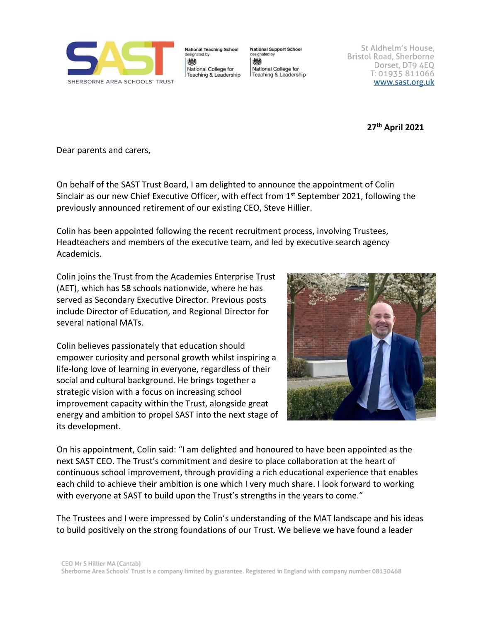

**National Teaching School** lesignated by 戀 National College for Teaching & Leadership **National Support School** lesignated by 戀 National College for Teaching & Leadership

St Aldhelm's House, Bristol Road, Sherborne Dorset, DT9 4EQ T: 01935 811066 www.sast.org.uk

**27 th April 2021**

Dear parents and carers,

On behalf of the SAST Trust Board, I am delighted to announce the appointment of Colin Sinclair as our new Chief Executive Officer, with effect from  $1<sup>st</sup>$  September 2021, following the previously announced retirement of our existing CEO, Steve Hillier.

Colin has been appointed following the recent recruitment process, involving Trustees, Headteachers and members of the executive team, and led by executive search agency Academicis.

Colin joins the Trust from the Academies Enterprise Trust (AET), which has 58 schools nationwide, where he has served as Secondary Executive Director. Previous posts include Director of Education, and Regional Director for several national MATs.

Colin believes passionately that education should empower curiosity and personal growth whilst inspiring a life-long love of learning in everyone, regardless of their social and cultural background. He brings together a strategic vision with a focus on increasing school improvement capacity within the Trust, alongside great energy and ambition to propel SAST into the next stage of its development.



On his appointment, Colin said: "I am delighted and honoured to have been appointed as the next SAST CEO. The Trust's commitment and desire to place collaboration at the heart of continuous school improvement, through providing a rich educational experience that enables each child to achieve their ambition is one which I very much share. I look forward to working with everyone at SAST to build upon the Trust's strengths in the years to come."

The Trustees and I were impressed by Colin's understanding of the MAT landscape and his ideas to build positively on the strong foundations of our Trust. We believe we have found a leader